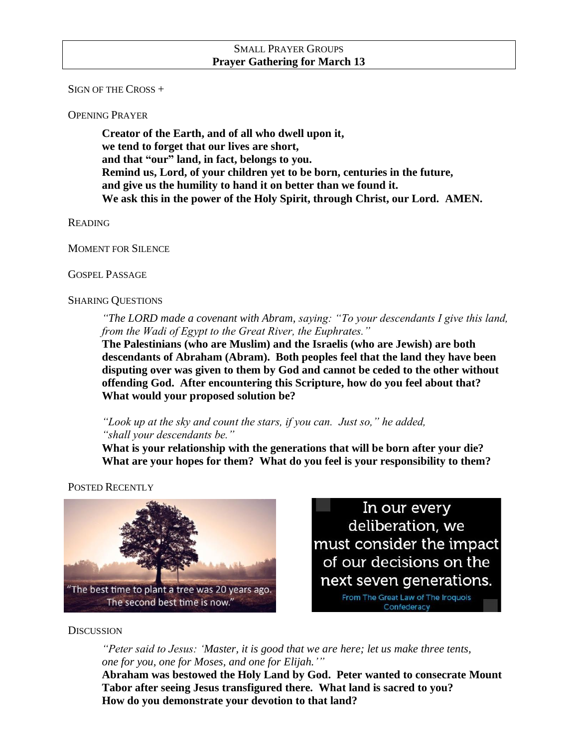### SMALL PRAYER GROUPS **Prayer Gathering for March 13**

SIGN OF THE CROSS +

OPENING PRAYER

**Creator of the Earth, and of all who dwell upon it, we tend to forget that our lives are short, and that "our" land, in fact, belongs to you. Remind us, Lord, of your children yet to be born, centuries in the future, and give us the humility to hand it on better than we found it. We ask this in the power of the Holy Spirit, through Christ, our Lord. AMEN.**

**READING** 

MOMENT FOR SILENCE

GOSPEL PASSAGE

### SHARING QUESTIONS

*"The LORD made a covenant with Abram, saying: "To your descendants I give this land, from the Wadi of Egypt to the Great River, the Euphrates."*

**The Palestinians (who are Muslim) and the Israelis (who are Jewish) are both descendants of Abraham (Abram). Both peoples feel that the land they have been disputing over was given to them by God and cannot be ceded to the other without offending God. After encountering this Scripture, how do you feel about that? What would your proposed solution be?**

*"Look up at the sky and count the stars, if you can. Just so," he added, "shall your descendants be."*

**What is your relationship with the generations that will be born after your die? What are your hopes for them? What do you feel is your responsibility to them?**

POSTED RECENTLY



In our every deliberation, we must consider the impact of our decisions on the next seven generations.

> From The Great Law of The Iroquois Confederacy

## **DISCUSSION**

*"Peter said to Jesus: 'Master, it is good that we are here; let us make three tents, one for you, one for Moses, and one for Elijah.'"*

**Abraham was bestowed the Holy Land by God. Peter wanted to consecrate Mount Tabor after seeing Jesus transfigured there. What land is sacred to you? How do you demonstrate your devotion to that land?**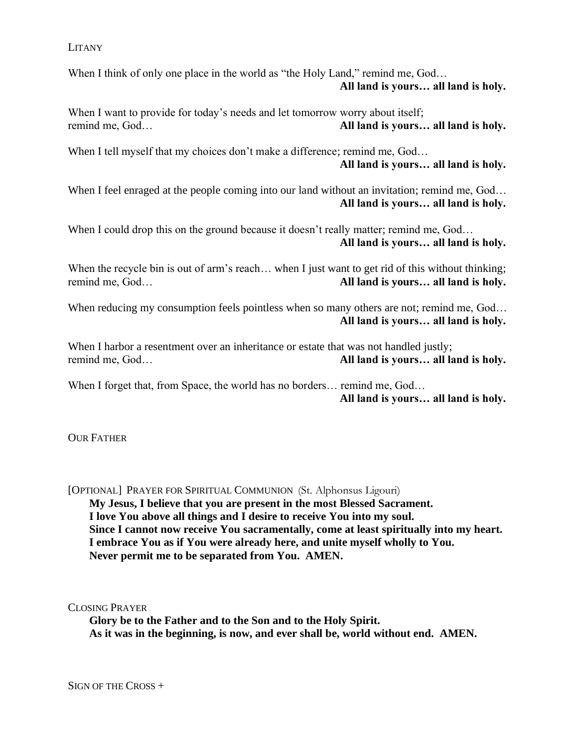#### LITANY

When I think of only one place in the world as "the Holy Land," remind me, God... **All land is yours… all land is holy.**

When I want to provide for today's needs and let tomorrow worry about itself; remind me, God… **All land is yours… all land is holy.**

When I tell myself that my choices don't make a difference; remind me, God... **All land is yours… all land is holy.**

When I feel enraged at the people coming into our land without an invitation; remind me, God... **All land is yours… all land is holy.**

When I could drop this on the ground because it doesn't really matter; remind me, God... **All land is yours… all land is holy.**

When the recycle bin is out of arm's reach... when I just want to get rid of this without thinking; remind me, God… **All land is yours… all land is holy.**

When reducing my consumption feels pointless when so many others are not; remind me, God... **All land is yours… all land is holy.**

When I harbor a resentment over an inheritance or estate that was not handled justly; remind me, God… **All land is yours… all land is holy.**

When I forget that, from Space, the world has no borders... remind me, God... **All land is yours… all land is holy.**

**OUR FATHER** 

[OPTIONAL] PRAYER FOR SPIRITUAL COMMUNION (St. Alphonsus Ligouri) **My Jesus, I believe that you are present in the most Blessed Sacrament. I love You above all things and I desire to receive You into my soul. Since I cannot now receive You sacramentally, come at least spiritually into my heart. I embrace You as if You were already here, and unite myself wholly to You. Never permit me to be separated from You. AMEN.**

CLOSING PRAYER

**Glory be to the Father and to the Son and to the Holy Spirit. As it was in the beginning, is now, and ever shall be, world without end. AMEN.**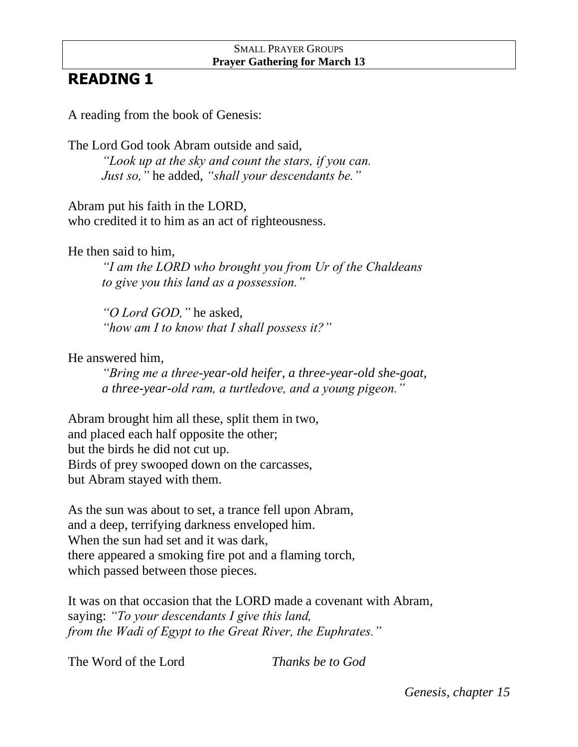# SMALL PRAYER GROUPS **Prayer Gathering for March 13**

# **READING 1**

A reading from the book of Genesis:

The Lord God took Abram outside and said, *"Look up at the sky and count the stars, if you can. Just so,"* he added, *"shall your descendants be."*

Abram put his faith in the LORD, who credited it to him as an act of righteousness.

He then said to him,

*"I am the LORD who brought you from Ur of the Chaldeans to give you this land as a possession."*

*"O Lord GOD,"* he asked, *"how am I to know that I shall possess it?"*

He answered him,

*"Bring me a three-year-old heifer, a three-year-old she-goat, a three-year-old ram, a turtledove, and a young pigeon."*

Abram brought him all these, split them in two, and placed each half opposite the other; but the birds he did not cut up. Birds of prey swooped down on the carcasses, but Abram stayed with them.

As the sun was about to set, a trance fell upon Abram, and a deep, terrifying darkness enveloped him. When the sun had set and it was dark, there appeared a smoking fire pot and a flaming torch, which passed between those pieces.

It was on that occasion that the LORD made a covenant with Abram, saying: *"To your descendants I give this land, from the Wadi of Egypt to the Great River, the Euphrates."*

The Word of the Lord *Thanks be to God*